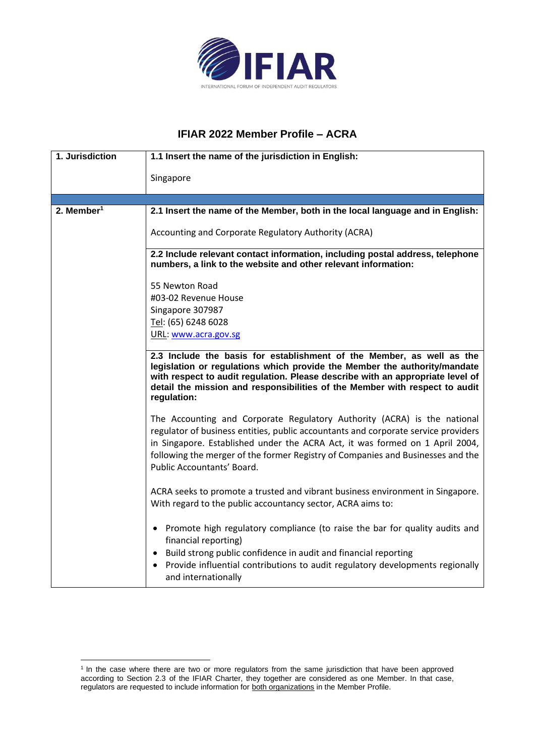

## **IFIAR 2022 Member Profile – ACRA**

| 1. Jurisdiction        | 1.1 Insert the name of the jurisdiction in English:                                                                                                                                                                                                                                                                                                             |
|------------------------|-----------------------------------------------------------------------------------------------------------------------------------------------------------------------------------------------------------------------------------------------------------------------------------------------------------------------------------------------------------------|
|                        | Singapore                                                                                                                                                                                                                                                                                                                                                       |
|                        |                                                                                                                                                                                                                                                                                                                                                                 |
| 2. Member <sup>1</sup> | 2.1 Insert the name of the Member, both in the local language and in English:                                                                                                                                                                                                                                                                                   |
|                        | Accounting and Corporate Regulatory Authority (ACRA)                                                                                                                                                                                                                                                                                                            |
|                        | 2.2 Include relevant contact information, including postal address, telephone<br>numbers, a link to the website and other relevant information:                                                                                                                                                                                                                 |
|                        | 55 Newton Road                                                                                                                                                                                                                                                                                                                                                  |
|                        | #03-02 Revenue House                                                                                                                                                                                                                                                                                                                                            |
|                        | Singapore 307987                                                                                                                                                                                                                                                                                                                                                |
|                        | Tel: (65) 6248 6028                                                                                                                                                                                                                                                                                                                                             |
|                        | URL: www.acra.gov.sg                                                                                                                                                                                                                                                                                                                                            |
|                        | 2.3 Include the basis for establishment of the Member, as well as the<br>legislation or regulations which provide the Member the authority/mandate<br>with respect to audit regulation. Please describe with an appropriate level of<br>detail the mission and responsibilities of the Member with respect to audit<br>regulation:                              |
|                        | The Accounting and Corporate Regulatory Authority (ACRA) is the national<br>regulator of business entities, public accountants and corporate service providers<br>in Singapore. Established under the ACRA Act, it was formed on 1 April 2004,<br>following the merger of the former Registry of Companies and Businesses and the<br>Public Accountants' Board. |
|                        | ACRA seeks to promote a trusted and vibrant business environment in Singapore.<br>With regard to the public accountancy sector, ACRA aims to:                                                                                                                                                                                                                   |
|                        | • Promote high regulatory compliance (to raise the bar for quality audits and<br>financial reporting)                                                                                                                                                                                                                                                           |
|                        | • Build strong public confidence in audit and financial reporting<br>Provide influential contributions to audit regulatory developments regionally<br>and internationally                                                                                                                                                                                       |

<sup>&</sup>lt;sup>1</sup> In the case where there are two or more regulators from the same jurisdiction that have been approved according to Section 2.3 of the IFIAR Charter, they together are considered as one Member. In that case, regulators are requested to include information for both organizations in the Member Profile.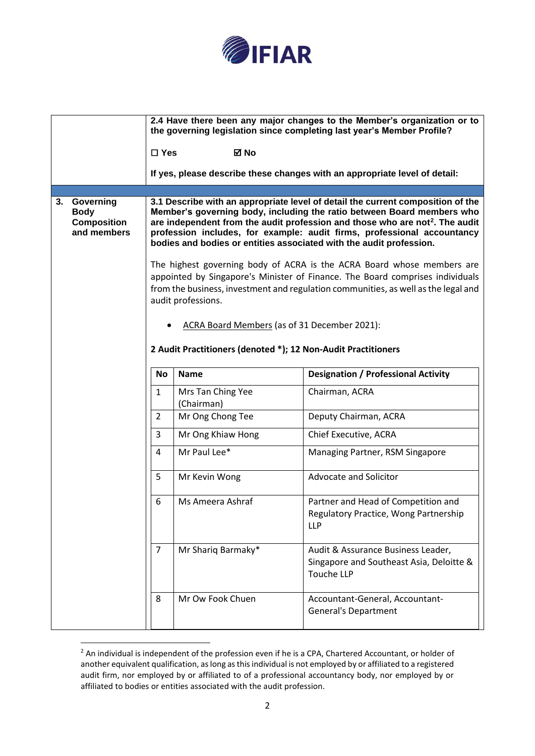

|    |                                                               |                                                               |                                              | 2.4 Have there been any major changes to the Member's organization or to<br>the governing legislation since completing last year's Member Profile?                                                                                                                                                                                                                                                      |
|----|---------------------------------------------------------------|---------------------------------------------------------------|----------------------------------------------|---------------------------------------------------------------------------------------------------------------------------------------------------------------------------------------------------------------------------------------------------------------------------------------------------------------------------------------------------------------------------------------------------------|
|    |                                                               | $\square$ Yes                                                 | ⊠ No                                         |                                                                                                                                                                                                                                                                                                                                                                                                         |
|    |                                                               |                                                               |                                              | If yes, please describe these changes with an appropriate level of detail:                                                                                                                                                                                                                                                                                                                              |
|    |                                                               |                                                               |                                              |                                                                                                                                                                                                                                                                                                                                                                                                         |
| 3. | Governing<br><b>Body</b><br><b>Composition</b><br>and members |                                                               |                                              | 3.1 Describe with an appropriate level of detail the current composition of the<br>Member's governing body, including the ratio between Board members who<br>are independent from the audit profession and those who are not <sup>2</sup> . The audit<br>profession includes, for example: audit firms, professional accountancy<br>bodies and bodies or entities associated with the audit profession. |
|    |                                                               |                                                               | audit professions.                           | The highest governing body of ACRA is the ACRA Board whose members are<br>appointed by Singapore's Minister of Finance. The Board comprises individuals<br>from the business, investment and regulation communities, as well as the legal and                                                                                                                                                           |
|    |                                                               |                                                               | ACRA Board Members (as of 31 December 2021): |                                                                                                                                                                                                                                                                                                                                                                                                         |
|    |                                                               | 2 Audit Practitioners (denoted *); 12 Non-Audit Practitioners |                                              |                                                                                                                                                                                                                                                                                                                                                                                                         |
|    |                                                               | <b>No</b>                                                     | <b>Name</b>                                  | <b>Designation / Professional Activity</b>                                                                                                                                                                                                                                                                                                                                                              |
|    |                                                               | 1                                                             | Mrs Tan Ching Yee<br>(Chairman)              | Chairman, ACRA                                                                                                                                                                                                                                                                                                                                                                                          |
|    |                                                               | 2                                                             | Mr Ong Chong Tee                             | Deputy Chairman, ACRA                                                                                                                                                                                                                                                                                                                                                                                   |
|    |                                                               | 3                                                             | Mr Ong Khiaw Hong                            | Chief Executive, ACRA                                                                                                                                                                                                                                                                                                                                                                                   |
|    |                                                               | 4                                                             | Mr Paul Lee*                                 | Managing Partner, RSM Singapore                                                                                                                                                                                                                                                                                                                                                                         |
|    |                                                               | 5                                                             | Mr Kevin Wong                                | Advocate and Solicitor                                                                                                                                                                                                                                                                                                                                                                                  |
|    |                                                               | 6                                                             | Ms Ameera Ashraf                             | Partner and Head of Competition and<br>Regulatory Practice, Wong Partnership<br><b>LLP</b>                                                                                                                                                                                                                                                                                                              |
|    |                                                               | $\overline{7}$                                                | Mr Shariq Barmaky*                           | Audit & Assurance Business Leader,<br>Singapore and Southeast Asia, Deloitte &<br>Touche LLP                                                                                                                                                                                                                                                                                                            |
|    |                                                               | 8                                                             | Mr Ow Fook Chuen                             | Accountant-General, Accountant-<br><b>General's Department</b>                                                                                                                                                                                                                                                                                                                                          |

<sup>&</sup>lt;sup>2</sup> An individual is independent of the profession even if he is a CPA, Chartered Accountant, or holder of another equivalent qualification, as long as this individual is not employed by or affiliated to a registered audit firm, nor employed by or affiliated to of a professional accountancy body, nor employed by or affiliated to bodies or entities associated with the audit profession.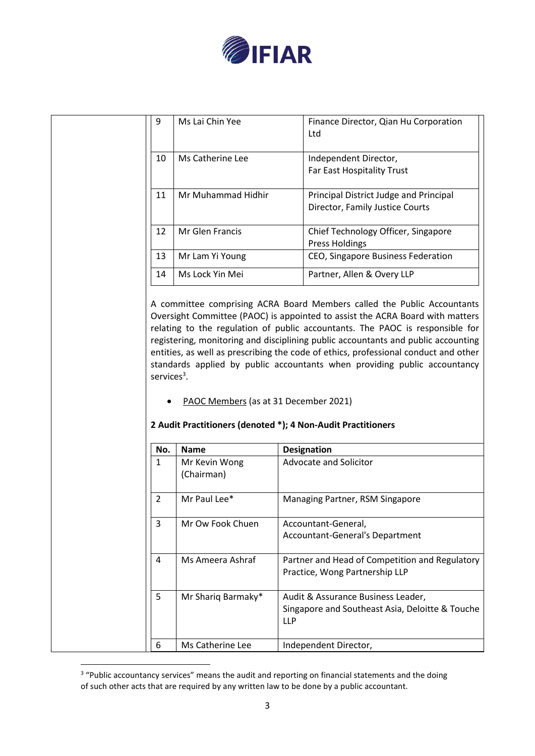

| 9              | Ms Lai Chin Yee                       | Finance Director, Qian Hu Corporation<br>Ltd                                                                                                                                                                                                                                                                                                                                                                                                                                                       |
|----------------|---------------------------------------|----------------------------------------------------------------------------------------------------------------------------------------------------------------------------------------------------------------------------------------------------------------------------------------------------------------------------------------------------------------------------------------------------------------------------------------------------------------------------------------------------|
| 10             | Ms Catherine Lee                      | Independent Director,<br>Far East Hospitality Trust                                                                                                                                                                                                                                                                                                                                                                                                                                                |
| 11             | Mr Muhammad Hidhir                    | Principal District Judge and Principal<br>Director, Family Justice Courts                                                                                                                                                                                                                                                                                                                                                                                                                          |
| 12             | Mr Glen Francis                       | Chief Technology Officer, Singapore<br><b>Press Holdings</b>                                                                                                                                                                                                                                                                                                                                                                                                                                       |
| 13             | Mr Lam Yi Young                       | CEO, Singapore Business Federation                                                                                                                                                                                                                                                                                                                                                                                                                                                                 |
| 14             | Ms Lock Yin Mei                       | Partner, Allen & Overy LLP                                                                                                                                                                                                                                                                                                                                                                                                                                                                         |
| services $3$ . |                                       | A committee comprising ACRA Board Members called the Public Accountants<br>Oversight Committee (PAOC) is appointed to assist the ACRA Board with matters<br>relating to the regulation of public accountants. The PAOC is responsible for<br>registering, monitoring and disciplining public accountants and public accounting<br>entities, as well as prescribing the code of ethics, professional conduct and other<br>standards applied by public accountants when providing public accountancy |
|                | PAOC Members (as at 31 December 2021) | 2 Audit Practitioners (denoted *); 4 Non-Audit Practitioners                                                                                                                                                                                                                                                                                                                                                                                                                                       |
| No.            | <b>Name</b>                           | <b>Designation</b>                                                                                                                                                                                                                                                                                                                                                                                                                                                                                 |
|                | Mr Kevin Wong                         | Advocate and Solicitor                                                                                                                                                                                                                                                                                                                                                                                                                                                                             |

|  | No.           | Name                        | Designation                                                                                         |
|--|---------------|-----------------------------|-----------------------------------------------------------------------------------------------------|
|  | 1             | Mr Kevin Wong<br>(Chairman) | Advocate and Solicitor                                                                              |
|  | $\mathcal{P}$ | Mr Paul Lee*                | Managing Partner, RSM Singapore                                                                     |
|  | 3             | Mr Ow Fook Chuen            | Accountant-General,<br>Accountant-General's Department                                              |
|  | 4             | Ms Ameera Ashraf            | Partner and Head of Competition and Regulatory<br>Practice, Wong Partnership LLP                    |
|  | 5             | Mr Shariq Barmaky*          | Audit & Assurance Business Leader,<br>Singapore and Southeast Asia, Deloitte & Touche<br><b>LLP</b> |
|  | 6             | Ms Catherine Lee            | Independent Director,                                                                               |

<sup>&</sup>lt;sup>3</sup> "Public accountancy services" means the audit and reporting on financial statements and the doing of such other acts that are required by any written law to be done by a public accountant.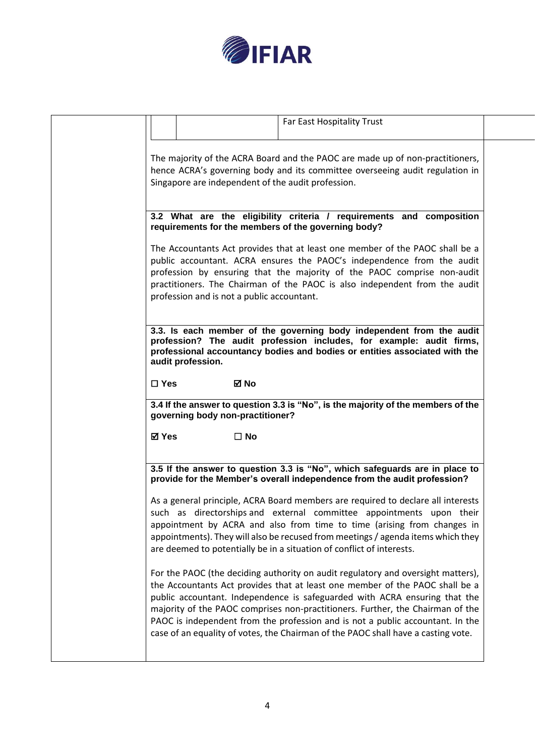

| Far East Hospitality Trust                                                                                                                                                                                                                                                                                                                                                                                                                                                                              |  |
|---------------------------------------------------------------------------------------------------------------------------------------------------------------------------------------------------------------------------------------------------------------------------------------------------------------------------------------------------------------------------------------------------------------------------------------------------------------------------------------------------------|--|
| The majority of the ACRA Board and the PAOC are made up of non-practitioners,<br>hence ACRA's governing body and its committee overseeing audit regulation in<br>Singapore are independent of the audit profession.                                                                                                                                                                                                                                                                                     |  |
| 3.2 What are the eligibility criteria / requirements and composition<br>requirements for the members of the governing body?                                                                                                                                                                                                                                                                                                                                                                             |  |
| The Accountants Act provides that at least one member of the PAOC shall be a<br>public accountant. ACRA ensures the PAOC's independence from the audit<br>profession by ensuring that the majority of the PAOC comprise non-audit<br>practitioners. The Chairman of the PAOC is also independent from the audit<br>profession and is not a public accountant.                                                                                                                                           |  |
| 3.3. Is each member of the governing body independent from the audit<br>profession? The audit profession includes, for example: audit firms,<br>professional accountancy bodies and bodies or entities associated with the<br>audit profession.                                                                                                                                                                                                                                                         |  |
| <b>⊠</b> No<br>$\Box$ Yes                                                                                                                                                                                                                                                                                                                                                                                                                                                                               |  |
| 3.4 If the answer to question 3.3 is "No", is the majority of the members of the<br>governing body non-practitioner?                                                                                                                                                                                                                                                                                                                                                                                    |  |
| <b>⊠</b> Yes<br>$\Box$ No                                                                                                                                                                                                                                                                                                                                                                                                                                                                               |  |
| 3.5 If the answer to question 3.3 is "No", which safeguards are in place to<br>provide for the Member's overall independence from the audit profession?                                                                                                                                                                                                                                                                                                                                                 |  |
| As a general principle, ACRA Board members are required to declare all interests<br>such as directorships and external committee appointments upon their<br>appointment by ACRA and also from time to time (arising from changes in<br>appointments). They will also be recused from meetings / agenda items which they<br>are deemed to potentially be in a situation of conflict of interests.                                                                                                        |  |
| For the PAOC (the deciding authority on audit regulatory and oversight matters),<br>the Accountants Act provides that at least one member of the PAOC shall be a<br>public accountant. Independence is safeguarded with ACRA ensuring that the<br>majority of the PAOC comprises non-practitioners. Further, the Chairman of the<br>PAOC is independent from the profession and is not a public accountant. In the<br>case of an equality of votes, the Chairman of the PAOC shall have a casting vote. |  |
|                                                                                                                                                                                                                                                                                                                                                                                                                                                                                                         |  |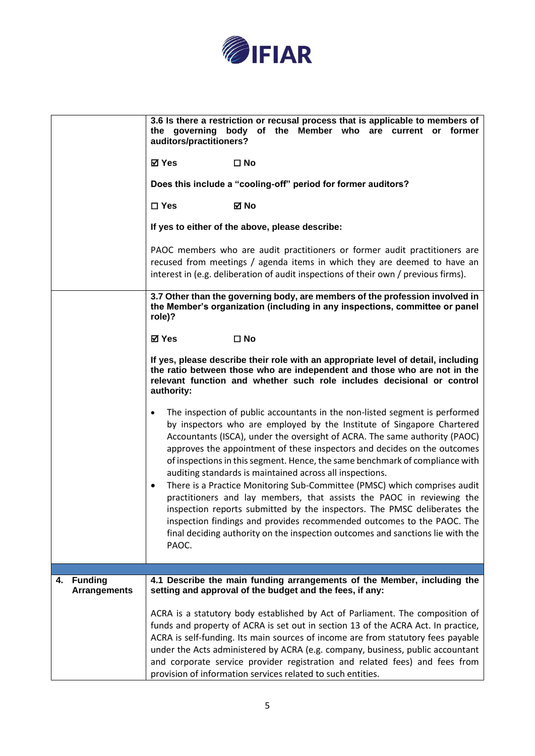

|                                             | 3.6 Is there a restriction or recusal process that is applicable to members of<br>the governing body of the Member who are current or former<br>auditors/practitioners?                                                                                                                                                                                                                                                                                                                                                                                                                                                                                                                                                                                                                                                                                                                      |
|---------------------------------------------|----------------------------------------------------------------------------------------------------------------------------------------------------------------------------------------------------------------------------------------------------------------------------------------------------------------------------------------------------------------------------------------------------------------------------------------------------------------------------------------------------------------------------------------------------------------------------------------------------------------------------------------------------------------------------------------------------------------------------------------------------------------------------------------------------------------------------------------------------------------------------------------------|
|                                             | ⊠ Yes<br>$\square$ No                                                                                                                                                                                                                                                                                                                                                                                                                                                                                                                                                                                                                                                                                                                                                                                                                                                                        |
|                                             | Does this include a "cooling-off" period for former auditors?                                                                                                                                                                                                                                                                                                                                                                                                                                                                                                                                                                                                                                                                                                                                                                                                                                |
|                                             | $\square$ Yes<br>⊠ No                                                                                                                                                                                                                                                                                                                                                                                                                                                                                                                                                                                                                                                                                                                                                                                                                                                                        |
|                                             | If yes to either of the above, please describe:                                                                                                                                                                                                                                                                                                                                                                                                                                                                                                                                                                                                                                                                                                                                                                                                                                              |
|                                             | PAOC members who are audit practitioners or former audit practitioners are<br>recused from meetings / agenda items in which they are deemed to have an<br>interest in (e.g. deliberation of audit inspections of their own / previous firms).                                                                                                                                                                                                                                                                                                                                                                                                                                                                                                                                                                                                                                                |
|                                             | 3.7 Other than the governing body, are members of the profession involved in<br>the Member's organization (including in any inspections, committee or panel<br>role)?                                                                                                                                                                                                                                                                                                                                                                                                                                                                                                                                                                                                                                                                                                                        |
|                                             | $\square$ No<br>⊠ Yes                                                                                                                                                                                                                                                                                                                                                                                                                                                                                                                                                                                                                                                                                                                                                                                                                                                                        |
|                                             | If yes, please describe their role with an appropriate level of detail, including<br>the ratio between those who are independent and those who are not in the<br>relevant function and whether such role includes decisional or control<br>authority:                                                                                                                                                                                                                                                                                                                                                                                                                                                                                                                                                                                                                                        |
|                                             | The inspection of public accountants in the non-listed segment is performed<br>$\bullet$<br>by inspectors who are employed by the Institute of Singapore Chartered<br>Accountants (ISCA), under the oversight of ACRA. The same authority (PAOC)<br>approves the appointment of these inspectors and decides on the outcomes<br>of inspections in this segment. Hence, the same benchmark of compliance with<br>auditing standards is maintained across all inspections.<br>There is a Practice Monitoring Sub-Committee (PMSC) which comprises audit<br>$\bullet$<br>practitioners and lay members, that assists the PAOC in reviewing the<br>inspection reports submitted by the inspectors. The PMSC deliberates the<br>inspection findings and provides recommended outcomes to the PAOC. The<br>final deciding authority on the inspection outcomes and sanctions lie with the<br>PAOC. |
|                                             |                                                                                                                                                                                                                                                                                                                                                                                                                                                                                                                                                                                                                                                                                                                                                                                                                                                                                              |
| <b>Funding</b><br>4.<br><b>Arrangements</b> | 4.1 Describe the main funding arrangements of the Member, including the<br>setting and approval of the budget and the fees, if any:                                                                                                                                                                                                                                                                                                                                                                                                                                                                                                                                                                                                                                                                                                                                                          |
|                                             | ACRA is a statutory body established by Act of Parliament. The composition of<br>funds and property of ACRA is set out in section 13 of the ACRA Act. In practice,<br>ACRA is self-funding. Its main sources of income are from statutory fees payable<br>under the Acts administered by ACRA (e.g. company, business, public accountant<br>and corporate service provider registration and related fees) and fees from<br>provision of information services related to such entities.                                                                                                                                                                                                                                                                                                                                                                                                       |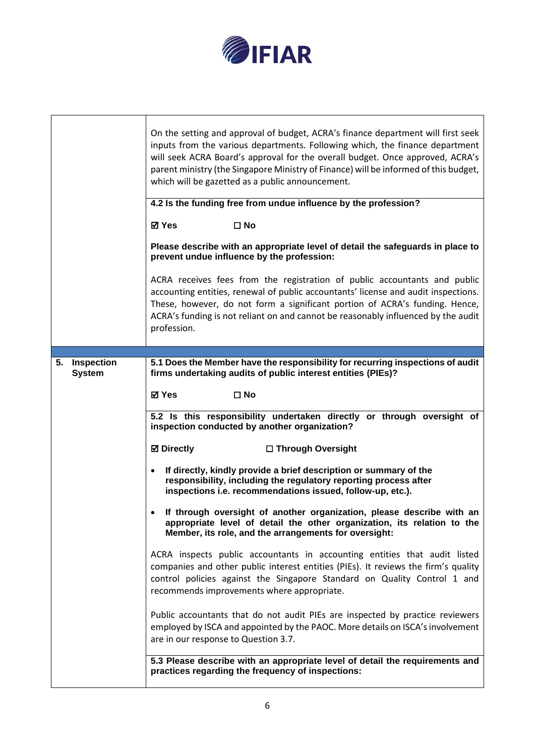

| On the setting and approval of budget, ACRA's finance department will first seek<br>inputs from the various departments. Following which, the finance department<br>will seek ACRA Board's approval for the overall budget. Once approved, ACRA's<br>parent ministry (the Singapore Ministry of Finance) will be informed of this budget,<br>which will be gazetted as a public announcement. |                                                                                                                                                                                                                                                                                                                                                    |  |  |
|-----------------------------------------------------------------------------------------------------------------------------------------------------------------------------------------------------------------------------------------------------------------------------------------------------------------------------------------------------------------------------------------------|----------------------------------------------------------------------------------------------------------------------------------------------------------------------------------------------------------------------------------------------------------------------------------------------------------------------------------------------------|--|--|
|                                                                                                                                                                                                                                                                                                                                                                                               | 4.2 Is the funding free from undue influence by the profession?                                                                                                                                                                                                                                                                                    |  |  |
|                                                                                                                                                                                                                                                                                                                                                                                               | ⊠ Yes<br>$\square$ No                                                                                                                                                                                                                                                                                                                              |  |  |
|                                                                                                                                                                                                                                                                                                                                                                                               | Please describe with an appropriate level of detail the safeguards in place to<br>prevent undue influence by the profession:                                                                                                                                                                                                                       |  |  |
|                                                                                                                                                                                                                                                                                                                                                                                               | ACRA receives fees from the registration of public accountants and public<br>accounting entities, renewal of public accountants' license and audit inspections.<br>These, however, do not form a significant portion of ACRA's funding. Hence,<br>ACRA's funding is not reliant on and cannot be reasonably influenced by the audit<br>profession. |  |  |
|                                                                                                                                                                                                                                                                                                                                                                                               |                                                                                                                                                                                                                                                                                                                                                    |  |  |
| 5. Inspection<br><b>System</b>                                                                                                                                                                                                                                                                                                                                                                | 5.1 Does the Member have the responsibility for recurring inspections of audit<br>firms undertaking audits of public interest entities (PIEs)?                                                                                                                                                                                                     |  |  |
|                                                                                                                                                                                                                                                                                                                                                                                               | ⊠ Yes<br>$\square$ No                                                                                                                                                                                                                                                                                                                              |  |  |
|                                                                                                                                                                                                                                                                                                                                                                                               | 5.2 Is this responsibility undertaken directly or through oversight of<br>inspection conducted by another organization?                                                                                                                                                                                                                            |  |  |
|                                                                                                                                                                                                                                                                                                                                                                                               | <b>Ø</b> Directly<br>□ Through Oversight                                                                                                                                                                                                                                                                                                           |  |  |
|                                                                                                                                                                                                                                                                                                                                                                                               | If directly, kindly provide a brief description or summary of the<br>$\bullet$<br>responsibility, including the regulatory reporting process after<br>inspections i.e. recommendations issued, follow-up, etc.).                                                                                                                                   |  |  |
|                                                                                                                                                                                                                                                                                                                                                                                               | If through oversight of another organization, please describe with an<br>$\bullet$<br>appropriate level of detail the other organization, its relation to the<br>Member, its role, and the arrangements for oversight:                                                                                                                             |  |  |
|                                                                                                                                                                                                                                                                                                                                                                                               | ACRA inspects public accountants in accounting entities that audit listed<br>companies and other public interest entities (PIEs). It reviews the firm's quality<br>control policies against the Singapore Standard on Quality Control 1 and<br>recommends improvements where appropriate.                                                          |  |  |
|                                                                                                                                                                                                                                                                                                                                                                                               | Public accountants that do not audit PIEs are inspected by practice reviewers<br>employed by ISCA and appointed by the PAOC. More details on ISCA's involvement<br>are in our response to Question 3.7.                                                                                                                                            |  |  |
|                                                                                                                                                                                                                                                                                                                                                                                               | 5.3 Please describe with an appropriate level of detail the requirements and<br>practices regarding the frequency of inspections:                                                                                                                                                                                                                  |  |  |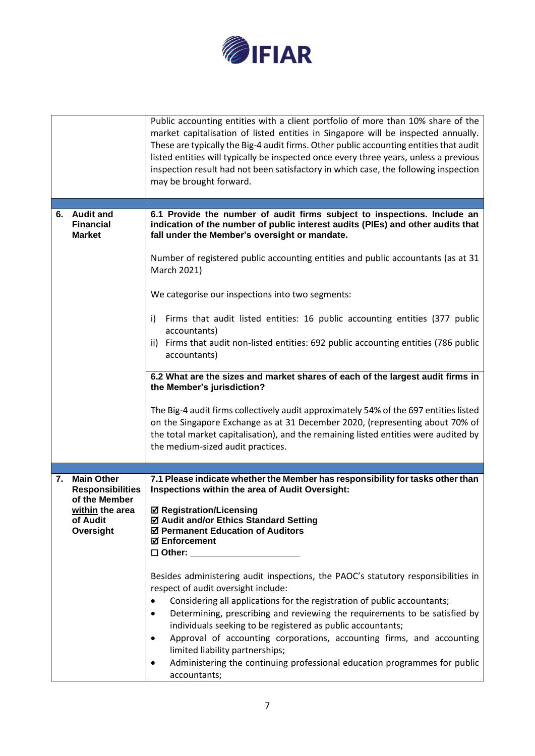

|    |                                                                                                           | Public accounting entities with a client portfolio of more than 10% share of the<br>market capitalisation of listed entities in Singapore will be inspected annually.<br>These are typically the Big-4 audit firms. Other public accounting entities that audit<br>listed entities will typically be inspected once every three years, unless a previous<br>inspection result had not been satisfactory in which case, the following inspection<br>may be brought forward.                                                                                                                                                                                                                                                                                                                                                                                                                                |
|----|-----------------------------------------------------------------------------------------------------------|-----------------------------------------------------------------------------------------------------------------------------------------------------------------------------------------------------------------------------------------------------------------------------------------------------------------------------------------------------------------------------------------------------------------------------------------------------------------------------------------------------------------------------------------------------------------------------------------------------------------------------------------------------------------------------------------------------------------------------------------------------------------------------------------------------------------------------------------------------------------------------------------------------------|
|    |                                                                                                           |                                                                                                                                                                                                                                                                                                                                                                                                                                                                                                                                                                                                                                                                                                                                                                                                                                                                                                           |
| 6. | <b>Audit and</b><br><b>Financial</b><br><b>Market</b>                                                     | 6.1 Provide the number of audit firms subject to inspections. Include an<br>indication of the number of public interest audits (PIEs) and other audits that<br>fall under the Member's oversight or mandate.<br>Number of registered public accounting entities and public accountants (as at 31<br>March 2021)<br>We categorise our inspections into two segments:                                                                                                                                                                                                                                                                                                                                                                                                                                                                                                                                       |
|    |                                                                                                           |                                                                                                                                                                                                                                                                                                                                                                                                                                                                                                                                                                                                                                                                                                                                                                                                                                                                                                           |
|    |                                                                                                           | Firms that audit listed entities: 16 public accounting entities (377 public<br>i)<br>accountants)<br>ii) Firms that audit non-listed entities: 692 public accounting entities (786 public<br>accountants)                                                                                                                                                                                                                                                                                                                                                                                                                                                                                                                                                                                                                                                                                                 |
|    |                                                                                                           | 6.2 What are the sizes and market shares of each of the largest audit firms in<br>the Member's jurisdiction?                                                                                                                                                                                                                                                                                                                                                                                                                                                                                                                                                                                                                                                                                                                                                                                              |
|    |                                                                                                           | The Big-4 audit firms collectively audit approximately 54% of the 697 entities listed<br>on the Singapore Exchange as at 31 December 2020, (representing about 70% of<br>the total market capitalisation), and the remaining listed entities were audited by<br>the medium-sized audit practices.                                                                                                                                                                                                                                                                                                                                                                                                                                                                                                                                                                                                         |
|    |                                                                                                           |                                                                                                                                                                                                                                                                                                                                                                                                                                                                                                                                                                                                                                                                                                                                                                                                                                                                                                           |
| 7. | <b>Main Other</b><br><b>Responsibilities</b><br>of the Member<br>within the area<br>of Audit<br>Oversight | 7.1 Please indicate whether the Member has responsibility for tasks other than<br>Inspections within the area of Audit Oversight:<br><b>Ø Registration/Licensing</b><br>☑ Audit and/or Ethics Standard Setting<br>☑ Permanent Education of Auditors<br><b>☑ Enforcement</b><br>$\square$ Other:<br>Besides administering audit inspections, the PAOC's statutory responsibilities in<br>respect of audit oversight include:<br>Considering all applications for the registration of public accountants;<br>$\bullet$<br>Determining, prescribing and reviewing the requirements to be satisfied by<br>$\bullet$<br>individuals seeking to be registered as public accountants;<br>Approval of accounting corporations, accounting firms, and accounting<br>$\bullet$<br>limited liability partnerships;<br>Administering the continuing professional education programmes for public<br>٠<br>accountants; |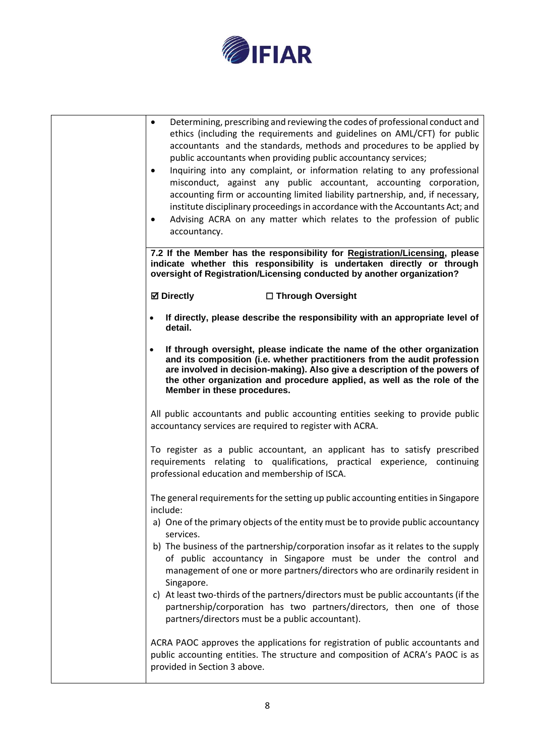

| Determining, prescribing and reviewing the codes of professional conduct and<br>$\bullet$<br>ethics (including the requirements and guidelines on AML/CFT) for public<br>accountants and the standards, methods and procedures to be applied by<br>public accountants when providing public accountancy services;<br>Inquiring into any complaint, or information relating to any professional<br>$\bullet$<br>misconduct, against any public accountant, accounting corporation,<br>accounting firm or accounting limited liability partnership, and, if necessary,<br>institute disciplinary proceedings in accordance with the Accountants Act; and<br>Advising ACRA on any matter which relates to the profession of public<br>$\bullet$<br>accountancy. |
|--------------------------------------------------------------------------------------------------------------------------------------------------------------------------------------------------------------------------------------------------------------------------------------------------------------------------------------------------------------------------------------------------------------------------------------------------------------------------------------------------------------------------------------------------------------------------------------------------------------------------------------------------------------------------------------------------------------------------------------------------------------|
| 7.2 If the Member has the responsibility for Registration/Licensing, please<br>indicate whether this responsibility is undertaken directly or through<br>oversight of Registration/Licensing conducted by another organization?                                                                                                                                                                                                                                                                                                                                                                                                                                                                                                                              |
| <b>Ø</b> Directly<br>□ Through Oversight                                                                                                                                                                                                                                                                                                                                                                                                                                                                                                                                                                                                                                                                                                                     |
| If directly, please describe the responsibility with an appropriate level of<br>$\bullet$<br>detail.                                                                                                                                                                                                                                                                                                                                                                                                                                                                                                                                                                                                                                                         |
| If through oversight, please indicate the name of the other organization<br>$\bullet$<br>and its composition (i.e. whether practitioners from the audit profession<br>are involved in decision-making). Also give a description of the powers of<br>the other organization and procedure applied, as well as the role of the<br>Member in these procedures.                                                                                                                                                                                                                                                                                                                                                                                                  |
| All public accountants and public accounting entities seeking to provide public<br>accountancy services are required to register with ACRA.                                                                                                                                                                                                                                                                                                                                                                                                                                                                                                                                                                                                                  |
| To register as a public accountant, an applicant has to satisfy prescribed<br>requirements relating to qualifications, practical experience, continuing<br>professional education and membership of ISCA.                                                                                                                                                                                                                                                                                                                                                                                                                                                                                                                                                    |
| The general requirements for the setting up public accounting entities in Singapore<br>include:                                                                                                                                                                                                                                                                                                                                                                                                                                                                                                                                                                                                                                                              |
| a) One of the primary objects of the entity must be to provide public accountancy<br>services.                                                                                                                                                                                                                                                                                                                                                                                                                                                                                                                                                                                                                                                               |
| b) The business of the partnership/corporation insofar as it relates to the supply<br>of public accountancy in Singapore must be under the control and<br>management of one or more partners/directors who are ordinarily resident in<br>Singapore.                                                                                                                                                                                                                                                                                                                                                                                                                                                                                                          |
| c) At least two-thirds of the partners/directors must be public accountants (if the<br>partnership/corporation has two partners/directors, then one of those<br>partners/directors must be a public accountant).                                                                                                                                                                                                                                                                                                                                                                                                                                                                                                                                             |
| ACRA PAOC approves the applications for registration of public accountants and<br>public accounting entities. The structure and composition of ACRA's PAOC is as<br>provided in Section 3 above.                                                                                                                                                                                                                                                                                                                                                                                                                                                                                                                                                             |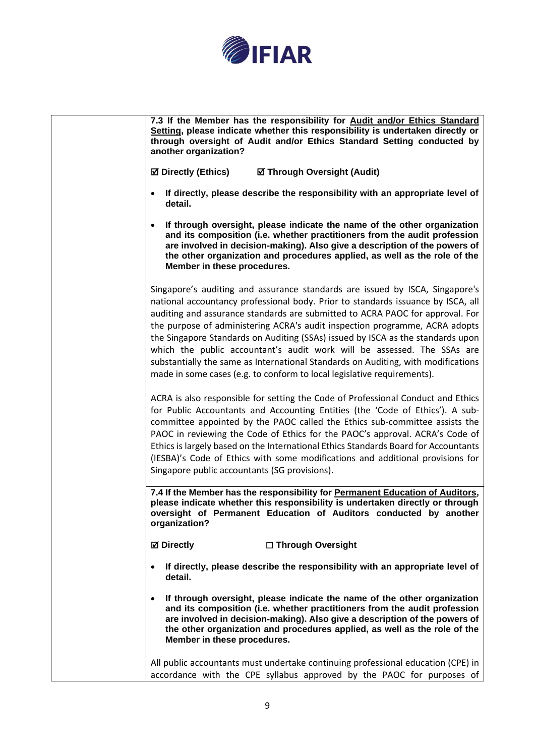

| 7.3 If the Member has the responsibility for Audit and/or Ethics Standard<br>Setting, please indicate whether this responsibility is undertaken directly or<br>through oversight of Audit and/or Ethics Standard Setting conducted by<br>another organization?                                                                                                                                                                                                                                                                                                                                                                                                 |
|----------------------------------------------------------------------------------------------------------------------------------------------------------------------------------------------------------------------------------------------------------------------------------------------------------------------------------------------------------------------------------------------------------------------------------------------------------------------------------------------------------------------------------------------------------------------------------------------------------------------------------------------------------------|
| <b>☑ Directly (Ethics)</b><br>☑ Through Oversight (Audit)                                                                                                                                                                                                                                                                                                                                                                                                                                                                                                                                                                                                      |
| If directly, please describe the responsibility with an appropriate level of<br>$\bullet$<br>detail.                                                                                                                                                                                                                                                                                                                                                                                                                                                                                                                                                           |
| If through oversight, please indicate the name of the other organization<br>$\bullet$<br>and its composition (i.e. whether practitioners from the audit profession<br>are involved in decision-making). Also give a description of the powers of<br>the other organization and procedures applied, as well as the role of the<br>Member in these procedures.                                                                                                                                                                                                                                                                                                   |
| Singapore's auditing and assurance standards are issued by ISCA, Singapore's<br>national accountancy professional body. Prior to standards issuance by ISCA, all<br>auditing and assurance standards are submitted to ACRA PAOC for approval. For<br>the purpose of administering ACRA's audit inspection programme, ACRA adopts<br>the Singapore Standards on Auditing (SSAs) issued by ISCA as the standards upon<br>which the public accountant's audit work will be assessed. The SSAs are<br>substantially the same as International Standards on Auditing, with modifications<br>made in some cases (e.g. to conform to local legislative requirements). |
| ACRA is also responsible for setting the Code of Professional Conduct and Ethics<br>for Public Accountants and Accounting Entities (the 'Code of Ethics'). A sub-<br>committee appointed by the PAOC called the Ethics sub-committee assists the<br>PAOC in reviewing the Code of Ethics for the PAOC's approval. ACRA's Code of<br>Ethics is largely based on the International Ethics Standards Board for Accountants<br>(IESBA)'s Code of Ethics with some modifications and additional provisions for<br>Singapore public accountants (SG provisions).                                                                                                     |
| 7.4 If the Member has the responsibility for Permanent Education of Auditors,<br>please indicate whether this responsibility is undertaken directly or through<br>oversight of Permanent Education of Auditors conducted by another<br>organization?                                                                                                                                                                                                                                                                                                                                                                                                           |
| <b>Ø</b> Directly<br>□ Through Oversight                                                                                                                                                                                                                                                                                                                                                                                                                                                                                                                                                                                                                       |
| If directly, please describe the responsibility with an appropriate level of<br>$\bullet$<br>detail.                                                                                                                                                                                                                                                                                                                                                                                                                                                                                                                                                           |
| If through oversight, please indicate the name of the other organization<br>$\bullet$<br>and its composition (i.e. whether practitioners from the audit profession<br>are involved in decision-making). Also give a description of the powers of<br>the other organization and procedures applied, as well as the role of the<br>Member in these procedures.                                                                                                                                                                                                                                                                                                   |
| All public accountants must undertake continuing professional education (CPE) in<br>accordance with the CPE syllabus approved by the PAOC for purposes of                                                                                                                                                                                                                                                                                                                                                                                                                                                                                                      |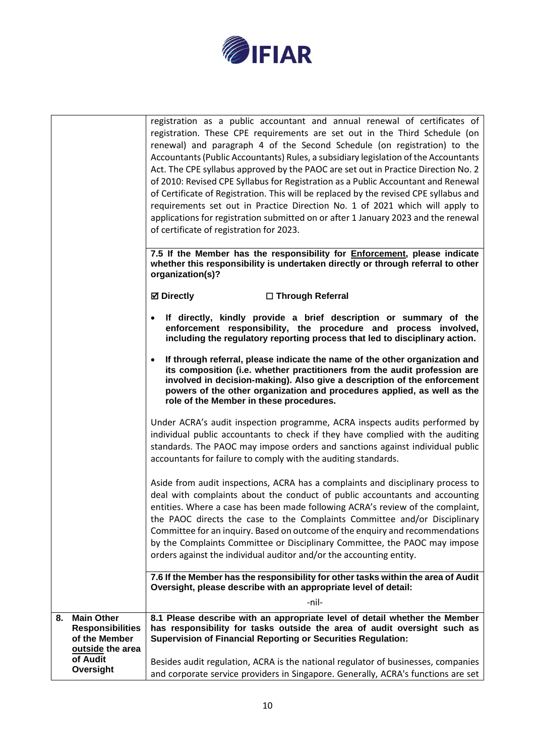

|                                                                                         | registration as a public accountant and annual renewal of certificates of<br>registration. These CPE requirements are set out in the Third Schedule (on<br>renewal) and paragraph 4 of the Second Schedule (on registration) to the<br>Accountants (Public Accountants) Rules, a subsidiary legislation of the Accountants<br>Act. The CPE syllabus approved by the PAOC are set out in Practice Direction No. 2<br>of 2010: Revised CPE Syllabus for Registration as a Public Accountant and Renewal<br>of Certificate of Registration. This will be replaced by the revised CPE syllabus and<br>requirements set out in Practice Direction No. 1 of 2021 which will apply to<br>applications for registration submitted on or after 1 January 2023 and the renewal |
|-----------------------------------------------------------------------------------------|----------------------------------------------------------------------------------------------------------------------------------------------------------------------------------------------------------------------------------------------------------------------------------------------------------------------------------------------------------------------------------------------------------------------------------------------------------------------------------------------------------------------------------------------------------------------------------------------------------------------------------------------------------------------------------------------------------------------------------------------------------------------|
|                                                                                         | of certificate of registration for 2023.                                                                                                                                                                                                                                                                                                                                                                                                                                                                                                                                                                                                                                                                                                                             |
|                                                                                         | 7.5 If the Member has the responsibility for <b>Enforcement</b> , please indicate<br>whether this responsibility is undertaken directly or through referral to other<br>organization(s)?                                                                                                                                                                                                                                                                                                                                                                                                                                                                                                                                                                             |
|                                                                                         | <b>Ø</b> Directly<br>□ Through Referral                                                                                                                                                                                                                                                                                                                                                                                                                                                                                                                                                                                                                                                                                                                              |
|                                                                                         | If directly, kindly provide a brief description or summary of the<br>$\bullet$<br>enforcement responsibility, the procedure and process involved,<br>including the regulatory reporting process that led to disciplinary action.                                                                                                                                                                                                                                                                                                                                                                                                                                                                                                                                     |
|                                                                                         | If through referral, please indicate the name of the other organization and<br>$\bullet$<br>its composition (i.e. whether practitioners from the audit profession are<br>involved in decision-making). Also give a description of the enforcement<br>powers of the other organization and procedures applied, as well as the<br>role of the Member in these procedures.                                                                                                                                                                                                                                                                                                                                                                                              |
|                                                                                         | Under ACRA's audit inspection programme, ACRA inspects audits performed by<br>individual public accountants to check if they have complied with the auditing<br>standards. The PAOC may impose orders and sanctions against individual public<br>accountants for failure to comply with the auditing standards.                                                                                                                                                                                                                                                                                                                                                                                                                                                      |
|                                                                                         | Aside from audit inspections, ACRA has a complaints and disciplinary process to<br>deal with complaints about the conduct of public accountants and accounting<br>entities. Where a case has been made following ACRA's review of the complaint,<br>the PAOC directs the case to the Complaints Committee and/or Disciplinary<br>Committee for an inquiry. Based on outcome of the enquiry and recommendations<br>by the Complaints Committee or Disciplinary Committee, the PAOC may impose<br>orders against the individual auditor and/or the accounting entity.                                                                                                                                                                                                  |
|                                                                                         | 7.6 If the Member has the responsibility for other tasks within the area of Audit<br>Oversight, please describe with an appropriate level of detail:                                                                                                                                                                                                                                                                                                                                                                                                                                                                                                                                                                                                                 |
|                                                                                         | -nil-                                                                                                                                                                                                                                                                                                                                                                                                                                                                                                                                                                                                                                                                                                                                                                |
| <b>Main Other</b><br>8.<br><b>Responsibilities</b><br>of the Member<br>outside the area | 8.1 Please describe with an appropriate level of detail whether the Member<br>has responsibility for tasks outside the area of audit oversight such as<br><b>Supervision of Financial Reporting or Securities Regulation:</b>                                                                                                                                                                                                                                                                                                                                                                                                                                                                                                                                        |
| of Audit<br>Oversight                                                                   | Besides audit regulation, ACRA is the national regulator of businesses, companies<br>and corporate service providers in Singapore. Generally, ACRA's functions are set                                                                                                                                                                                                                                                                                                                                                                                                                                                                                                                                                                                               |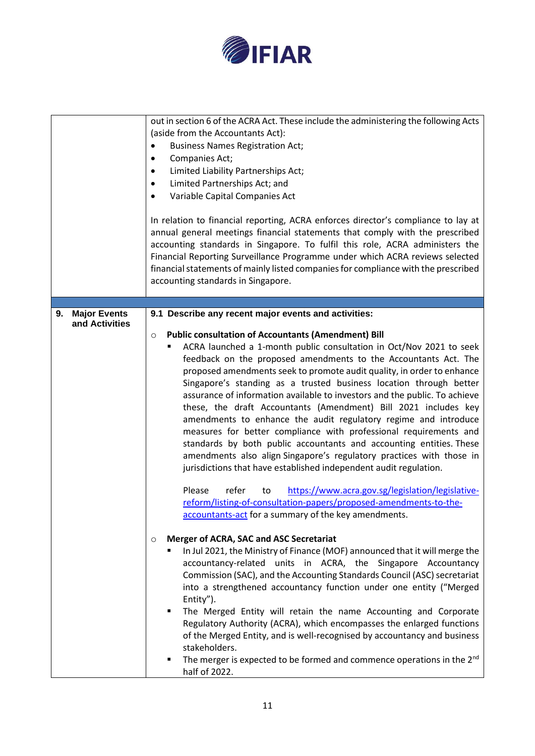

|                           | out in section 6 of the ACRA Act. These include the administering the following Acts<br>(aside from the Accountants Act):<br><b>Business Names Registration Act;</b><br>٠<br>Companies Act;<br>٠<br>Limited Liability Partnerships Act;<br>$\bullet$<br>Limited Partnerships Act; and<br>٠<br>Variable Capital Companies Act<br>$\bullet$<br>In relation to financial reporting, ACRA enforces director's compliance to lay at<br>annual general meetings financial statements that comply with the prescribed<br>accounting standards in Singapore. To fulfil this role, ACRA administers the<br>Financial Reporting Surveillance Programme under which ACRA reviews selected<br>financial statements of mainly listed companies for compliance with the prescribed<br>accounting standards in Singapore.                                                                                                                                                                                                                                                                             |
|---------------------------|----------------------------------------------------------------------------------------------------------------------------------------------------------------------------------------------------------------------------------------------------------------------------------------------------------------------------------------------------------------------------------------------------------------------------------------------------------------------------------------------------------------------------------------------------------------------------------------------------------------------------------------------------------------------------------------------------------------------------------------------------------------------------------------------------------------------------------------------------------------------------------------------------------------------------------------------------------------------------------------------------------------------------------------------------------------------------------------|
| <b>Major Events</b><br>9. | 9.1 Describe any recent major events and activities:                                                                                                                                                                                                                                                                                                                                                                                                                                                                                                                                                                                                                                                                                                                                                                                                                                                                                                                                                                                                                                   |
| and Activities            | <b>Public consultation of Accountants (Amendment) Bill</b><br>$\circ$<br>ACRA launched a 1-month public consultation in Oct/Nov 2021 to seek<br>feedback on the proposed amendments to the Accountants Act. The<br>proposed amendments seek to promote audit quality, in order to enhance<br>Singapore's standing as a trusted business location through better<br>assurance of information available to investors and the public. To achieve<br>these, the draft Accountants (Amendment) Bill 2021 includes key<br>amendments to enhance the audit regulatory regime and introduce<br>measures for better compliance with professional requirements and<br>standards by both public accountants and accounting entities. These<br>amendments also align Singapore's regulatory practices with those in<br>jurisdictions that have established independent audit regulation.<br>refer<br>https://www.acra.gov.sg/legislation/legislative-<br>Please<br>to<br>reform/listing-of-consultation-papers/proposed-amendments-to-the-<br>accountants-act for a summary of the key amendments. |
|                           | Merger of ACRA, SAC and ASC Secretariat<br>$\circ$<br>In Jul 2021, the Ministry of Finance (MOF) announced that it will merge the<br>accountancy-related units in ACRA, the Singapore Accountancy<br>Commission (SAC), and the Accounting Standards Council (ASC) secretariat<br>into a strengthened accountancy function under one entity ("Merged<br>Entity").<br>The Merged Entity will retain the name Accounting and Corporate<br>٠<br>Regulatory Authority (ACRA), which encompasses the enlarged functions<br>of the Merged Entity, and is well-recognised by accountancy and business<br>stakeholders.<br>The merger is expected to be formed and commence operations in the 2 <sup>nd</sup><br>٠<br>half of 2022.                                                                                                                                                                                                                                                                                                                                                             |